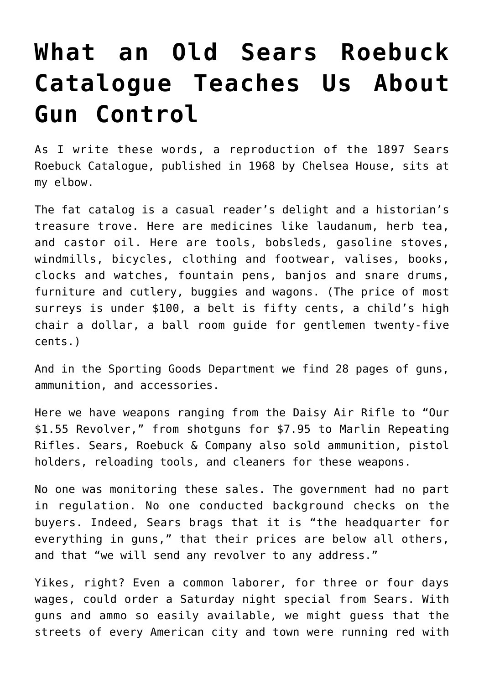## **[What an Old Sears Roebuck](https://intellectualtakeout.org/2019/03/what-an-old-sears-roebuck-catalogue-teaches-us-about-gun-control/) [Catalogue Teaches Us About](https://intellectualtakeout.org/2019/03/what-an-old-sears-roebuck-catalogue-teaches-us-about-gun-control/) [Gun Control](https://intellectualtakeout.org/2019/03/what-an-old-sears-roebuck-catalogue-teaches-us-about-gun-control/)**

As I write these words, a reproduction of the 1897 Sears Roebuck Catalogue, published in 1968 by Chelsea House, sits at my elbow.

The fat catalog is a casual reader's delight and a historian's treasure trove. Here are medicines like laudanum, herb tea, and castor oil. Here are tools, bobsleds, gasoline stoves, windmills, bicycles, clothing and footwear, valises, books, clocks and watches, fountain pens, banjos and snare drums, furniture and cutlery, buggies and wagons. (The price of most surreys is under \$100, a belt is fifty cents, a child's high chair a dollar, a ball room guide for gentlemen twenty-five cents.)

And in the Sporting Goods Department we find 28 pages of guns, ammunition, and accessories.

Here we have weapons ranging from the Daisy Air Rifle to "Our \$1.55 Revolver," from shotguns for \$7.95 to Marlin Repeating Rifles. Sears, Roebuck & Company also sold ammunition, pistol holders, reloading tools, and cleaners for these weapons.

No one was monitoring these sales. The government had no part in regulation. No one conducted background checks on the buyers. Indeed, Sears brags that it is "the headquarter for everything in guns," that their prices are below all others, and that "we will send any revolver to any address."

Yikes, right? Even a common laborer, for three or four days wages, could order a Saturday night special from Sears. With guns and ammo so easily available, we might guess that the streets of every American city and town were running red with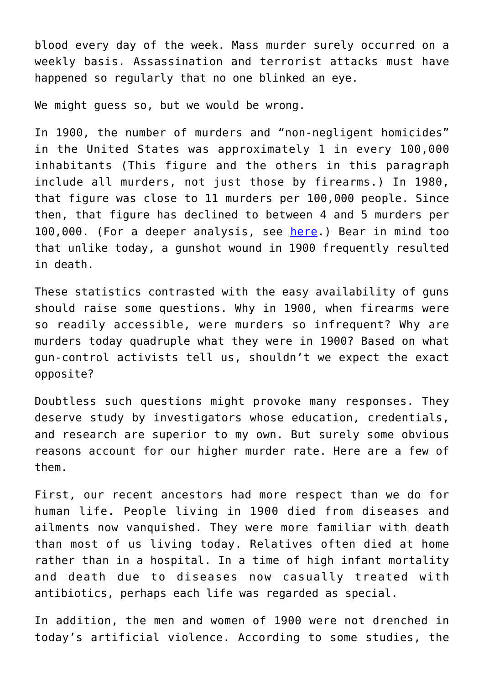blood every day of the week. Mass murder surely occurred on a weekly basis. Assassination and terrorist attacks must have happened so regularly that no one blinked an eye.

We might guess so, but we would be wrong.

In 1900, the number of murders and "non-negligent homicides" in the United States was approximately 1 in every 100,000 inhabitants (This figure and the others in this paragraph include all murders, not just those by firearms.) In 1980, that figure was close to 11 murders per 100,000 people. Since then, that figure has declined to between 4 and 5 murders per 100,000. (For a deeper analysis, see [here.](https://haciendapublishing.com/medicalsentinel/homicide-and-suicide-america-1900-1998)) Bear in mind too that unlike today, a gunshot wound in 1900 frequently resulted in death.

These statistics contrasted with the easy availability of guns should raise some questions. Why in 1900, when firearms were so readily accessible, were murders so infrequent? Why are murders today quadruple what they were in 1900? Based on what gun-control activists tell us, shouldn't we expect the exact opposite?

Doubtless such questions might provoke many responses. They deserve study by investigators whose education, credentials, and research are superior to my own. But surely some obvious reasons account for our higher murder rate. Here are a few of them.

First, our recent ancestors had more respect than we do for human life. People living in 1900 died from diseases and ailments now vanquished. They were more familiar with death than most of us living today. Relatives often died at home rather than in a hospital. In a time of high infant mortality and death due to diseases now casually treated with antibiotics, perhaps each life was regarded as special.

In addition, the men and women of 1900 were not drenched in today's artificial violence. According to some studies, the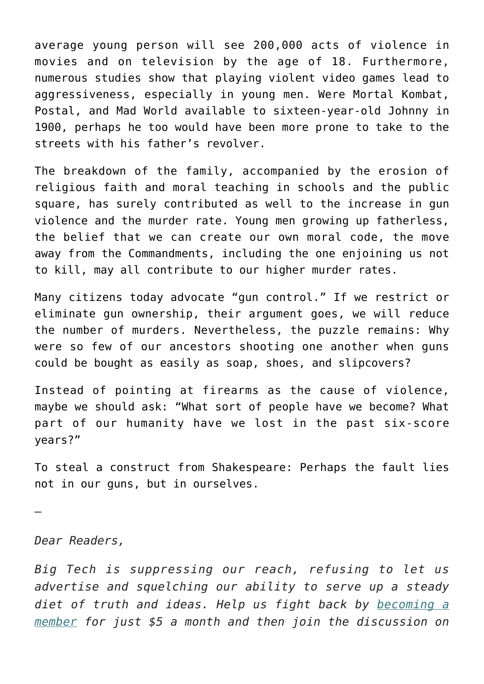average young person will see 200,000 acts of violence in movies and on television by the age of 18. Furthermore, numerous studies show that playing violent video games lead to aggressiveness, especially in young men. Were Mortal Kombat, Postal, and Mad World available to sixteen-year-old Johnny in 1900, perhaps he too would have been more prone to take to the streets with his father's revolver.

The breakdown of the family, accompanied by the erosion of religious faith and moral teaching in schools and the public square, has surely contributed as well to the increase in gun violence and the murder rate. Young men growing up fatherless, the belief that we can create our own moral code, the move away from the Commandments, including the one enjoining us not to kill, may all contribute to our higher murder rates.

Many citizens today advocate "gun control." If we restrict or eliminate gun ownership, their argument goes, we will reduce the number of murders. Nevertheless, the puzzle remains: Why were so few of our ancestors shooting one another when guns could be bought as easily as soap, shoes, and slipcovers?

Instead of pointing at firearms as the cause of violence, maybe we should ask: "What sort of people have we become? What part of our humanity have we lost in the past six-score years?"

To steal a construct from Shakespeare: Perhaps the fault lies not in our guns, but in ourselves.

—

*Dear Readers,*

*Big Tech is suppressing our reach, refusing to let us advertise and squelching our ability to serve up a steady diet of truth and ideas. Help us fight back by [becoming a](https://www.chroniclesmagazine.org/subscribe/) [member](https://www.chroniclesmagazine.org/subscribe/) for just \$5 a month and then join the discussion on*